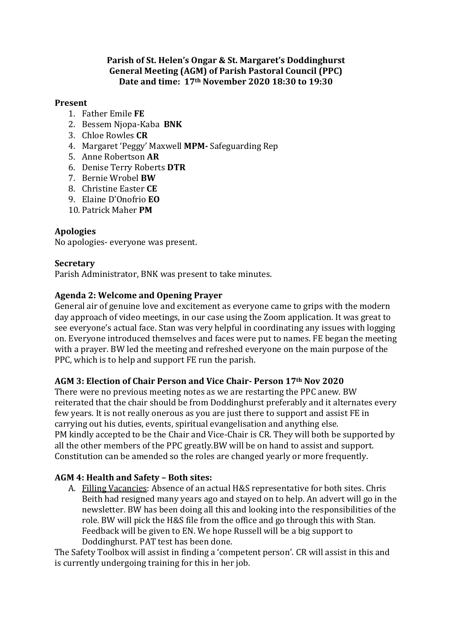### **Parish of St. Helen's Ongar & St. Margaret's Doddinghurst General Meeting (AGM) of Parish Pastoral Council (PPC) Date and time: 17th November 2020 18:30 to 19:30**

### **Present**

- 1. Father Emile **FE**
- 2. Bessem Njopa-Kaba **BNK**
- 3. Chloe Rowles **CR**
- 4. Margaret 'Peggy' Maxwell **MPM-** Safeguarding Rep
- 5. Anne Robertson **AR**
- 6. Denise Terry Roberts **DTR**
- 7. Bernie Wrobel **BW**
- 8. Christine Easter **CE**
- 9. Elaine D'Onofrio **EO**
- 10. Patrick Maher **PM**

## **Apologies**

No apologies- everyone was present.

### **Secretary**

Parish Administrator, BNK was present to take minutes.

## **Agenda 2: Welcome and Opening Prayer**

General air of genuine love and excitement as everyone came to grips with the modern day approach of video meetings, in our case using the Zoom application. It was great to see everyone's actual face. Stan was very helpful in coordinating any issues with logging on. Everyone introduced themselves and faces were put to names. FE began the meeting with a prayer. BW led the meeting and refreshed everyone on the main purpose of the PPC, which is to help and support FE run the parish.

### **AGM 3: Election of Chair Person and Vice Chair- Person 17th Nov 2020**

There were no previous meeting notes as we are restarting the PPC anew. BW reiterated that the chair should be from Doddinghurst preferably and it alternates every few years. It is not really onerous as you are just there to support and assist FE in carrying out his duties, events, spiritual evangelisation and anything else. PM kindly accepted to be the Chair and Vice-Chair is CR. They will both be supported by all the other members of the PPC greatly.BW will be on hand to assist and support. Constitution can be amended so the roles are changed yearly or more frequently.

# **AGM 4: Health and Safety – Both sites:**

A. Filling Vacancies: Absence of an actual H&S representative for both sites. Chris Beith had resigned many years ago and stayed on to help. An advert will go in the newsletter. BW has been doing all this and looking into the responsibilities of the role. BW will pick the H&S file from the office and go through this with Stan. Feedback will be given to EN. We hope Russell will be a big support to Doddinghurst. PAT test has been done.

The Safety Toolbox will assist in finding a 'competent person'. CR will assist in this and is currently undergoing training for this in her job.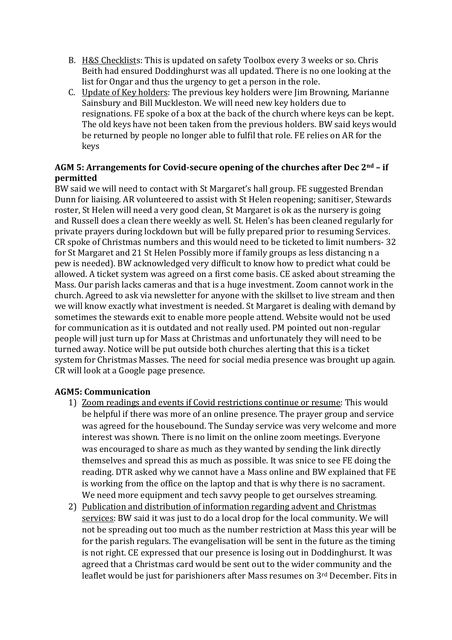- B. H&S Checklists: This is updated on safety Toolbox every 3 weeks or so. Chris Beith had ensured Doddinghurst was all updated. There is no one looking at the list for Ongar and thus the urgency to get a person in the role.
- C. Update of Key holders: The previous key holders were Jim Browning, Marianne Sainsbury and Bill Muckleston. We will need new key holders due to resignations. FE spoke of a box at the back of the church where keys can be kept. The old keys have not been taken from the previous holders. BW said keys would be returned by people no longer able to fulfil that role. FE relies on AR for the keys

## **AGM 5: Arrangements for Covid-secure opening of the churches after Dec 2nd – if permitted**

BW said we will need to contact with St Margaret's hall group. FE suggested Brendan Dunn for liaising. AR volunteered to assist with St Helen reopening; sanitiser, Stewards roster, St Helen will need a very good clean, St Margaret is ok as the nursery is going and Russell does a clean there weekly as well. St. Helen's has been cleaned regularly for private prayers during lockdown but will be fully prepared prior to resuming Services. CR spoke of Christmas numbers and this would need to be ticketed to limit numbers- 32 for St Margaret and 21 St Helen Possibly more if family groups as less distancing n a pew is needed). BW acknowledged very difficult to know how to predict what could be allowed. A ticket system was agreed on a first come basis. CE asked about streaming the Mass. Our parish lacks cameras and that is a huge investment. Zoom cannot work in the church. Agreed to ask via newsletter for anyone with the skillset to live stream and then we will know exactly what investment is needed. St Margaret is dealing with demand by sometimes the stewards exit to enable more people attend. Website would not be used for communication as it is outdated and not really used. PM pointed out non-regular people will just turn up for Mass at Christmas and unfortunately they will need to be turned away. Notice will be put outside both churches alerting that this is a ticket system for Christmas Masses. The need for social media presence was brought up again. CR will look at a Google page presence.

# **AGM5: Communication**

- 1) Zoom readings and events if Covid restrictions continue or resume: This would be helpful if there was more of an online presence. The prayer group and service was agreed for the housebound. The Sunday service was very welcome and more interest was shown. There is no limit on the online zoom meetings. Everyone was encouraged to share as much as they wanted by sending the link directly themselves and spread this as much as possible. It was snice to see FE doing the reading. DTR asked why we cannot have a Mass online and BW explained that FE is working from the office on the laptop and that is why there is no sacrament. We need more equipment and tech savvy people to get ourselves streaming.
- 2) Publication and distribution of information regarding advent and Christmas services: BW said it was just to do a local drop for the local community. We will not be spreading out too much as the number restriction at Mass this year will be for the parish regulars. The evangelisation will be sent in the future as the timing is not right. CE expressed that our presence is losing out in Doddinghurst. It was agreed that a Christmas card would be sent out to the wider community and the leaflet would be just for parishioners after Mass resumes on 3rd December. Fits in